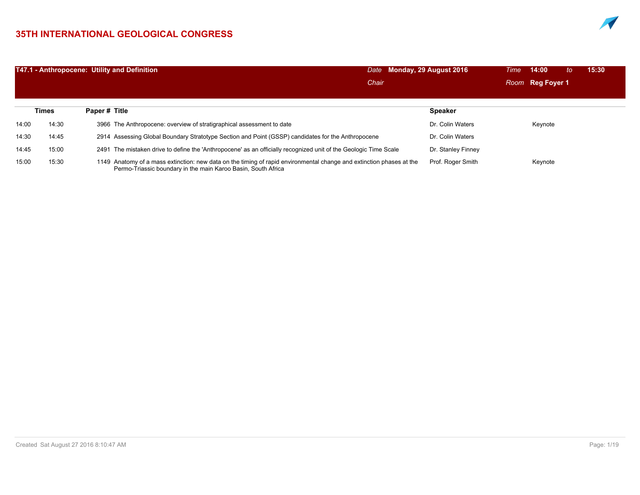## **35TH INTERNATIONAL GEOLOGICAL CONGRESS**



|       |       | T47.1 - Anthropocene: Utility and Definition                                                                                                                                          | Monday, 29 August 2016<br>Date | 14:00<br>Time<br>to | 15:30 |
|-------|-------|---------------------------------------------------------------------------------------------------------------------------------------------------------------------------------------|--------------------------------|---------------------|-------|
|       |       |                                                                                                                                                                                       | Chair                          | Room Reg Foyer 1    |       |
|       | Times | Paper # Title                                                                                                                                                                         | <b>Speaker</b>                 |                     |       |
| 14:00 | 14:30 | 3966 The Anthropocene: overview of stratigraphical assessment to date                                                                                                                 | Dr. Colin Waters               | Keynote             |       |
| 14:30 | 14:45 | 2914 Assessing Global Boundary Stratotype Section and Point (GSSP) candidates for the Anthropocene                                                                                    | Dr. Colin Waters               |                     |       |
| 14:45 | 15:00 | 2491 The mistaken drive to define the 'Anthropocene' as an officially recognized unit of the Geologic Time Scale                                                                      | Dr. Stanley Finney             |                     |       |
| 15:00 | 15:30 | 1149 Anatomy of a mass extinction: new data on the timing of rapid environmental change and extinction phases at the<br>Permo-Triassic boundary in the main Karoo Basin, South Africa | Prof. Roger Smith              | Keynote             |       |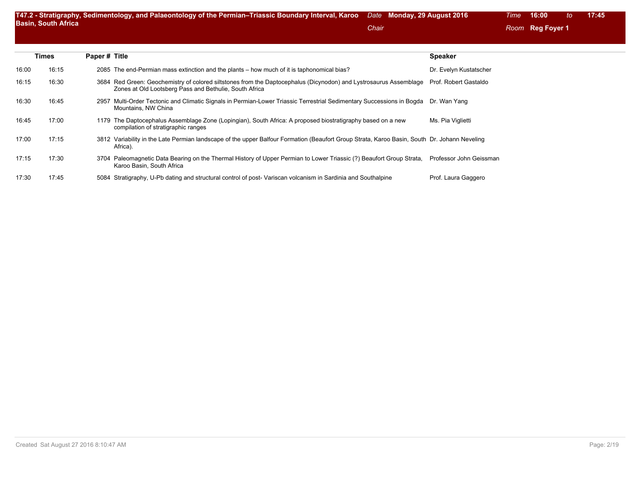|       | Times | Paper # Title |                                                                                                                                                                             | <b>Speaker</b>          |
|-------|-------|---------------|-----------------------------------------------------------------------------------------------------------------------------------------------------------------------------|-------------------------|
| 16:00 | 16:15 |               | 2085 The end-Permian mass extinction and the plants – how much of it is taphonomical bias?                                                                                  | Dr. Evelyn Kustatscher  |
| 16:15 | 16:30 |               | 3684 Red Green: Geochemistry of colored siltstones from the Daptocephalus (Dicynodon) and Lystrosaurus Assemblage<br>Zones at Old Lootsberg Pass and Bethulie, South Africa | Prof. Robert Gastaldo   |
| 16:30 | 16:45 |               | 2957 Multi-Order Tectonic and Climatic Signals in Permian-Lower Triassic Terrestrial Sedimentary Successions in Bogda Dr. Wan Yang<br>Mountains, NW China                   |                         |
| 16:45 | 17:00 |               | 1179 The Daptocephalus Assemblage Zone (Lopingian), South Africa: A proposed biostratigraphy based on a new<br>compilation of stratigraphic ranges                          | Ms. Pia Viglietti       |
| 17:00 | 17:15 |               | 3812 Variability in the Late Permian landscape of the upper Balfour Formation (Beaufort Group Strata, Karoo Basin, South Dr. Johann Neveling<br>Africa).                    |                         |
| 17:15 | 17:30 |               | 3704 Paleomagnetic Data Bearing on the Thermal History of Upper Permian to Lower Triassic (?) Beaufort Group Strata,<br>Karoo Basin, South Africa                           | Professor John Geissman |
| 17:30 | 17:45 |               | 5084 Stratigraphy, U-Pb dating and structural control of post-Variscan volcanism in Sardinia and Southalpine                                                                | Prof. Laura Gaggero     |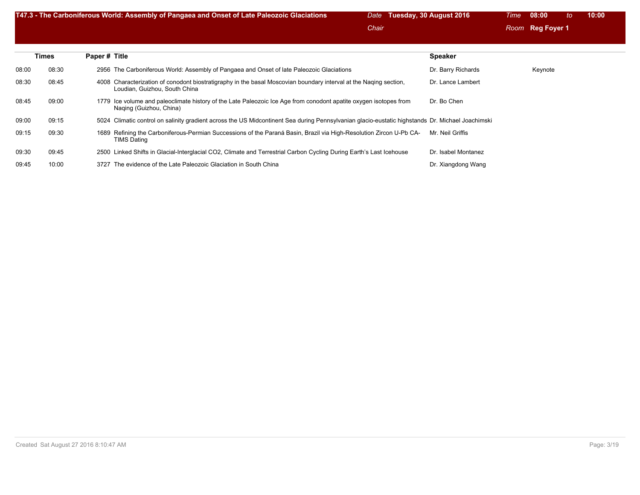|       |       | T47.3 - The Carboniferous World: Assembly of Pangaea and Onset of Late Paleozoic Glaciations                                                       | Tuesday, 30 August 2016<br>Date<br>Chair |                     | Time | 08:00<br>Room Reg Foyer 1 | 10:00<br>to |  |
|-------|-------|----------------------------------------------------------------------------------------------------------------------------------------------------|------------------------------------------|---------------------|------|---------------------------|-------------|--|
|       | Times | Paper # Title                                                                                                                                      |                                          | <b>Speaker</b>      |      |                           |             |  |
| 08:00 | 08:30 | 2956 The Carboniferous World: Assembly of Pangaea and Onset of late Paleozoic Glaciations                                                          |                                          | Dr. Barry Richards  |      | Keynote                   |             |  |
| 08:30 | 08:45 | 4008 Characterization of conodont biostratigraphy in the basal Moscovian boundary interval at the Naqing section,<br>Loudian, Guizhou, South China |                                          | Dr. Lance Lambert   |      |                           |             |  |
| 08:45 | 09:00 | 1779 Ice volume and paleoclimate history of the Late Paleozoic Ice Age from conodont apatite oxygen isotopes from<br>Naging (Guizhou, China)       |                                          | Dr. Bo Chen         |      |                           |             |  |
| 09:00 | 09:15 | 5024 Climatic control on salinity gradient across the US Midcontinent Sea during Pennsylvanian glacio-eustatic highstands Dr. Michael Joachimski   |                                          |                     |      |                           |             |  |
| 09:15 | 09:30 | Refining the Carboniferous-Permian Successions of the Paraná Basin, Brazil via High-Resolution Zircon U-Pb CA-<br>1689<br><b>TIMS Dating</b>       |                                          | Mr. Neil Griffis    |      |                           |             |  |
| 09:30 | 09:45 | 2500 Linked Shifts in Glacial-Interglacial CO2, Climate and Terrestrial Carbon Cycling During Earth's Last Icehouse                                |                                          | Dr. Isabel Montanez |      |                           |             |  |
| 09:45 | 10:00 | 3727 The evidence of the Late Paleozoic Glaciation in South China                                                                                  |                                          | Dr. Xiangdong Wang  |      |                           |             |  |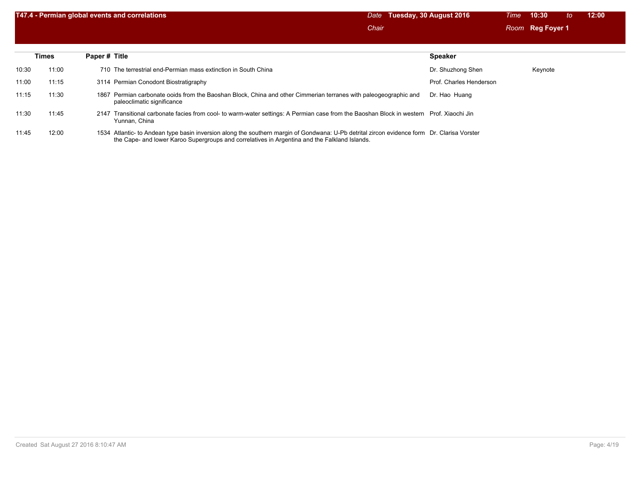|       |              | T47.4 - Permian global events and correlations                                                                                                            | Tuesday, 30 August 2016<br>Date<br>Chair | 10:30<br><b>Time</b><br>to<br>Room Reg Foyer 1 | 12:00 |
|-------|--------------|-----------------------------------------------------------------------------------------------------------------------------------------------------------|------------------------------------------|------------------------------------------------|-------|
|       | <b>Times</b> | Paper # Title                                                                                                                                             | <b>Speaker</b>                           |                                                |       |
| 10:30 | 11:00        | 710 The terrestrial end-Permian mass extinction in South China                                                                                            | Dr. Shuzhong Shen                        | Keynote                                        |       |
| 11:00 | 11:15        | 3114 Permian Conodont Biostratigraphy                                                                                                                     | Prof. Charles Henderson                  |                                                |       |
| 11:15 | 11:30        | 1867 Permian carbonate ooids from the Baoshan Block, China and other Cimmerian terranes with paleogeographic and<br>paleoclimatic significance            | Dr. Hao Huang                            |                                                |       |
| 11:30 | 11:45        | 2147 Transitional carbonate facies from cool- to warm-water settings: A Permian case from the Baoshan Block in western Prof. Xiaochi Jin<br>Yunnan, China |                                          |                                                |       |

11:45 12:00 1534 Atlantic- to Andean type basin inversion along the southern margin of Gondwana: U-Pb detrital zircon evidence form Dr. Clarisa Vorster the Cape- and lower Karoo Supergroups and correlatives in Argentina and the Falkland Islands.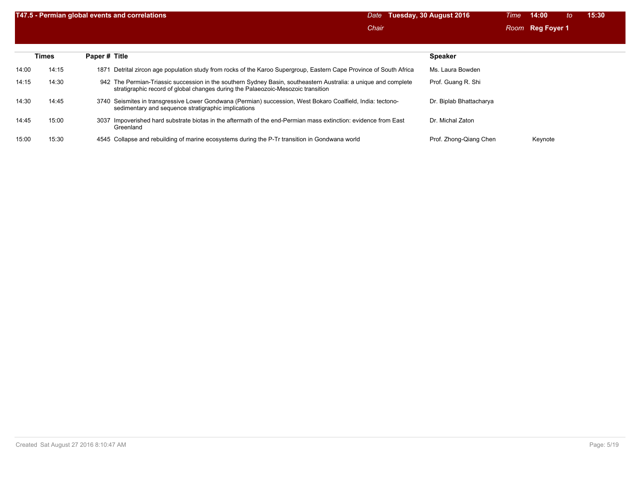|       |       | T47.5 - Permian global events and correlations                                                                                                                                                      | Date  | Tuesday, 30 August 2016 | Time | 14:00            | to | 15:30 |
|-------|-------|-----------------------------------------------------------------------------------------------------------------------------------------------------------------------------------------------------|-------|-------------------------|------|------------------|----|-------|
|       |       |                                                                                                                                                                                                     | Chair |                         |      | Room Reg Foyer 1 |    |       |
|       |       |                                                                                                                                                                                                     |       |                         |      |                  |    |       |
|       | Times | Paper # Title                                                                                                                                                                                       |       | <b>Speaker</b>          |      |                  |    |       |
| 14:00 | 14:15 | Detrital zircon age population study from rocks of the Karoo Supergroup, Eastern Cape Province of South Africa<br>1871                                                                              |       | Ms. Laura Bowden        |      |                  |    |       |
| 14:15 | 14:30 | 942 The Permian-Triassic succession in the southern Sydney Basin, southeastern Australia: a unique and complete<br>stratigraphic record of global changes during the Palaeozoic-Mesozoic transition |       | Prof. Guang R. Shi      |      |                  |    |       |
| 14:30 | 14:45 | 3740 Seismites in transgressive Lower Gondwana (Permian) succession, West Bokaro Coalfield, India: tectono-<br>sedimentary and sequence stratigraphic implications                                  |       | Dr. Biplab Bhattacharya |      |                  |    |       |
| 14:45 | 15:00 | Impoverished hard substrate biotas in the aftermath of the end-Permian mass extinction: evidence from East<br>3037<br>Greenland                                                                     |       | Dr. Michal Zaton        |      |                  |    |       |
| 15:00 | 15:30 | 4545 Collapse and rebuilding of marine ecosystems during the P-Tr transition in Gondwana world                                                                                                      |       | Prof. Zhong-Qiang Chen  |      | Keynote          |    |       |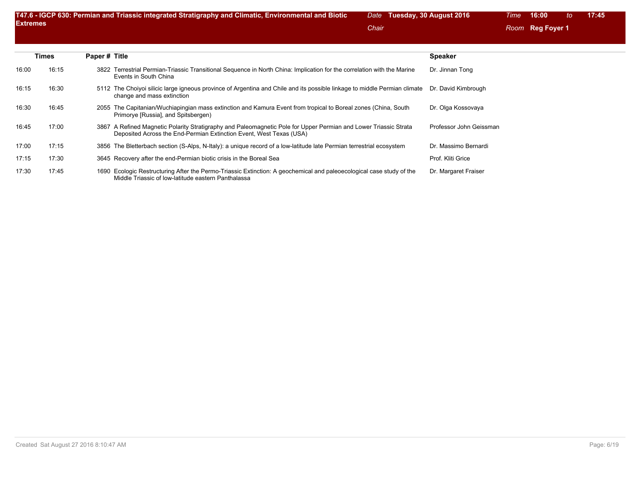| <b>Extremes</b> |       |               | T47.6 - IGCP 630: Permian and Triassic integrated Stratigraphy and Climatic, Environmental and Biotic                                                                                   | Date<br>Chair | Tuesday, 30 August 2016 | Time | 16:00<br>Room Reg Foyer 1 | to | 17:45 |
|-----------------|-------|---------------|-----------------------------------------------------------------------------------------------------------------------------------------------------------------------------------------|---------------|-------------------------|------|---------------------------|----|-------|
|                 | Times | Paper # Title |                                                                                                                                                                                         |               | <b>Speaker</b>          |      |                           |    |       |
| 16:00           | 16:15 | 3822          | Terrestrial Permian-Triassic Transitional Sequence in North China: Implication for the correlation with the Marine<br>Events in South China                                             |               | Dr. Jinnan Tong         |      |                           |    |       |
| 16:15           | 16:30 |               | 5112 The Choiyoi silicic large igneous province of Argentina and Chile and its possible linkage to middle Permian climate<br>change and mass extinction                                 |               | Dr. David Kimbrough     |      |                           |    |       |
| 16:30           | 16:45 | 2055          | The Capitanian/Wuchiapingian mass extinction and Kamura Event from tropical to Boreal zones (China, South<br>Primorye [Russia], and Spitsbergen)                                        |               | Dr. Olga Kossovaya      |      |                           |    |       |
| 16:45           | 17:00 |               | 3867 A Refined Magnetic Polarity Stratigraphy and Paleomagnetic Pole for Upper Permian and Lower Triassic Strata<br>Deposited Across the End-Permian Extinction Event, West Texas (USA) |               | Professor John Geissman |      |                           |    |       |
| 17:00           | 17:15 | 3856          | The Bletterbach section (S-Alps, N-Italy): a unique record of a low-latitude late Permian terrestrial ecosystem                                                                         |               | Dr. Massimo Bernardi    |      |                           |    |       |

17:30 17:45 1690 Ecologic Restructuring After the Permo-Triassic Extinction: A geochemical and paleoecological case study of the Dr. Margaret Fraiser Middle Triassic of low-latitude eastern Panthalassa

17:15 17:30 3645 Recovery after the end-Permian biotic crisis in the Boreal Sea Prof. Kliti Grice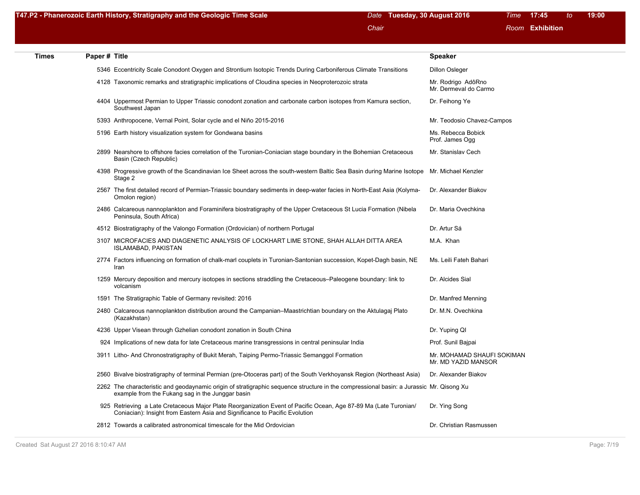|  |  | T47.P2 - Phanerozoic Earth History, Stratigraphy and the Geologic Time Scale | Date Tuesday, 30 August 2016 | Time <b>17:45</b> | to: | 19:00 |
|--|--|------------------------------------------------------------------------------|------------------------------|-------------------|-----|-------|
|--|--|------------------------------------------------------------------------------|------------------------------|-------------------|-----|-------|

| <b>Times</b> | Paper # Title |                                                                                                                                                                                                 | <b>Speaker</b>                                    |
|--------------|---------------|-------------------------------------------------------------------------------------------------------------------------------------------------------------------------------------------------|---------------------------------------------------|
|              |               | 5346 Eccentricity Scale Conodont Oxygen and Strontium Isotopic Trends During Carboniferous Climate Transitions                                                                                  | <b>Dillon Osleger</b>                             |
|              |               | 4128 Taxonomic remarks and stratigraphic implications of Cloudina species in Neoproterozoic strata                                                                                              | Mr. Rodrigo AdôRno<br>Mr. Dermeval do Carmo       |
|              |               | 4404 Uppermost Permian to Upper Triassic conodont zonation and carbonate carbon isotopes from Kamura section,<br>Southwest Japan                                                                | Dr. Feihong Ye                                    |
|              |               | 5393 Anthropocene, Vernal Point, Solar cycle and el Niño 2015-2016                                                                                                                              | Mr. Teodosio Chavez-Campos                        |
|              |               | 5196 Earth history visualization system for Gondwana basins                                                                                                                                     | Ms. Rebecca Bobick<br>Prof. James Ogg             |
|              |               | 2899 Nearshore to offshore facies correlation of the Turonian-Coniacian stage boundary in the Bohemian Cretaceous<br>Basin (Czech Republic)                                                     | Mr. Stanislav Cech                                |
|              |               | 4398 Progressive growth of the Scandinavian Ice Sheet across the south-western Baltic Sea Basin during Marine Isotope<br>Stage 2                                                                | Mr. Michael Kenzler                               |
|              |               | 2567 The first detailed record of Permian-Triassic boundary sediments in deep-water facies in North-East Asia (Kolyma-<br>Omolon region)                                                        | Dr. Alexander Biakov                              |
|              |               | 2486 Calcareous nannoplankton and Foraminifera biostratigraphy of the Upper Cretaceous St Lucia Formation (Nibela<br>Peninsula, South Africa)                                                   | Dr. Maria Ovechkina                               |
|              |               | 4512 Biostratigraphy of the Valongo Formation (Ordovician) of northern Portugal                                                                                                                 | Dr. Artur Sá                                      |
|              |               | 3107 MICROFACIES AND DIAGENETIC ANALYSIS OF LOCKHART LIME STONE, SHAH ALLAH DITTA AREA<br><b>ISLAMABAD, PAKISTAN</b>                                                                            | M.A. Khan                                         |
|              |               | 2774 Factors influencing on formation of chalk-marl couplets in Turonian-Santonian succession, Kopet-Dagh basin, NE<br>Iran                                                                     | Ms. Leili Fateh Bahari                            |
|              |               | 1259 Mercury deposition and mercury isotopes in sections straddling the Cretaceous–Paleogene boundary: link to<br>volcanism                                                                     | Dr. Alcides Sial                                  |
|              |               | 1591 The Stratigraphic Table of Germany revisited: 2016                                                                                                                                         | Dr. Manfred Menning                               |
|              |               | 2480 Calcareous nannoplankton distribution around the Campanian–Maastrichtian boundary on the Aktulagaj Plato<br>(Kazakhstan)                                                                   | Dr. M.N. Ovechkina                                |
|              |               | 4236 Upper Visean through Gzhelian conodont zonation in South China                                                                                                                             | Dr. Yuping QI                                     |
|              |               | 924 Implications of new data for late Cretaceous marine transgressions in central peninsular India                                                                                              | Prof. Sunil Bajpai                                |
|              |               | 3911 Litho- And Chronostratigraphy of Bukit Merah, Taiping Permo-Triassic Semanggol Formation                                                                                                   | Mr. MOHAMAD SHAUFI SOKIMAN<br>Mr. MD YAZID MANSOR |
|              |               | 2560 Bivalve biostratigraphy of terminal Permian (pre-Otoceras part) of the South Verkhoyansk Region (Northeast Asia)                                                                           | Dr. Alexander Biakov                              |
|              |               | 2262 The characteristic and geodaynamic origin of stratigraphic sequence structure in the compressional basin: a Jurassic Mr. Qisong Xu<br>example from the Fukang sag in the Junggar basin     |                                                   |
|              |               | 925 Retrieving a Late Cretaceous Major Plate Reorganization Event of Pacific Ocean, Age 87-89 Ma (Late Turonian/<br>Coniacian): Insight from Eastern Asia and Significance to Pacific Evolution | Dr. Ying Song                                     |
|              |               | 2812 Towards a calibrated astronomical timescale for the Mid Ordovician                                                                                                                         | Dr. Christian Rasmussen                           |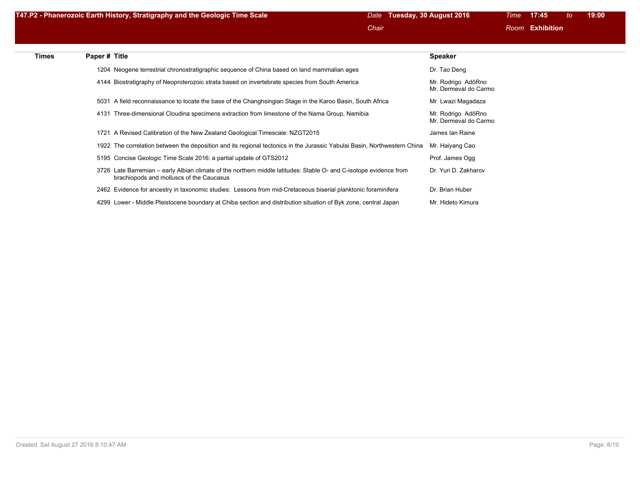| T47.P2 - Phanerozoic Earth History, Stratigraphy and the Geologic Time Scale | Date Tuesday, 30 August 2016 | Time 17:45 | ∖ to l | 19:00 |
|------------------------------------------------------------------------------|------------------------------|------------|--------|-------|
|                                                                              |                              |            |        |       |

| <b>Times</b> | Paper # Title |                                                                                                                                                                | <b>Speaker</b>                              |
|--------------|---------------|----------------------------------------------------------------------------------------------------------------------------------------------------------------|---------------------------------------------|
|              |               | 1204 Neogene terrestrial chronostratigraphic sequence of China based on land mammalian ages                                                                    | Dr. Tao Deng                                |
|              |               | 4144 Biostratigraphy of Neoproterozoic strata based on invertebrate species from South America                                                                 | Mr. Rodrigo AdôRno<br>Mr. Dermeval do Carmo |
|              |               | 5031 A field reconnaissance to locate the base of the Changhsingian Stage in the Karoo Basin, South Africa                                                     | Mr Lwazi Magadaza                           |
|              |               | 4131 Three-dimensional Cloudina specimens extraction from limestone of the Nama Group, Namibia                                                                 | Mr. Rodrigo AdôRno<br>Mr. Dermeval do Carmo |
|              |               | 1721 A Revised Calibration of the New Zealand Geological Timescale: NZGT2015                                                                                   | James Ian Raine                             |
|              |               | 1922 The correlation between the deposition and its regional tectonics in the Jurassic Yabulai Basin, Northwestern China                                       | Mr. Haiyang Cao                             |
|              |               | 5195 Concise Geologic Time Scale 2016: a partial update of GTS2012                                                                                             | Prof. James Ogg                             |
|              |               | 3726 Late Barremian - early Albian climate of the northern middle latitudes: Stable O- and C-isotope evidence from<br>brachiopods and molluscs of the Caucasus | Dr. Yuri D. Zakharov                        |
|              |               | 2462 Evidence for ancestry in taxonomic studies: Lessons from mid-Cretaceous biserial planktonic foraminifera                                                  | Dr. Brian Huber                             |
|              |               | 4299 Lower - Middle Pleistocene boundary at Chiba section and distribution situation of Byk zone, central Japan                                                | Mr. Hideto Kimura                           |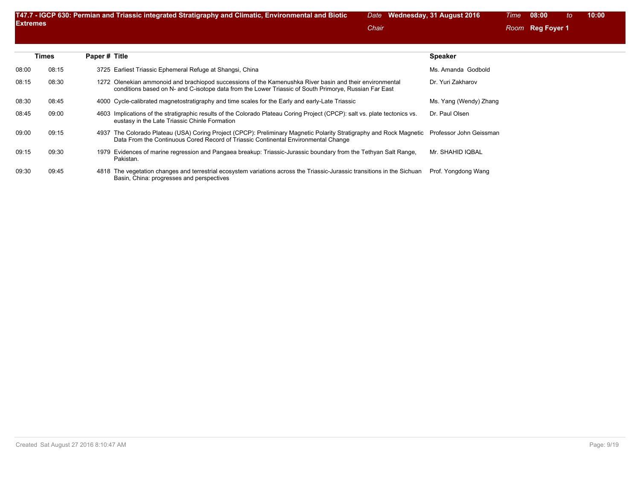|       | <b>Times</b> | Paper # Title |                                                                                                                                                                                                                                   | <b>Speaker</b>         |
|-------|--------------|---------------|-----------------------------------------------------------------------------------------------------------------------------------------------------------------------------------------------------------------------------------|------------------------|
| 08:00 | 08:15        |               | 3725 Earliest Triassic Ephemeral Refuge at Shangsi, China                                                                                                                                                                         | Ms. Amanda Godbold     |
| 08:15 | 08:30        |               | 1272 Olenekian ammonoid and brachiopod successions of the Kamenushka River basin and their environmental<br>conditions based on N- and C-isotope data from the Lower Triassic of South Primorye, Russian Far East                 | Dr. Yuri Zakharov      |
| 08:30 | 08:45        |               | 4000 Cycle-calibrated magnetostratigraphy and time scales for the Early and early-Late Triassic                                                                                                                                   | Ms. Yang (Wendy) Zhang |
| 08:45 | 09:00        |               | 4603 Implications of the stratigraphic results of the Colorado Plateau Coring Project (CPCP): salt vs. plate tectonics vs.<br>eustasy in the Late Triassic Chinle Formation                                                       | Dr. Paul Olsen         |
| 09:00 | 09:15        |               | 4937 The Colorado Plateau (USA) Coring Project (CPCP): Preliminary Magnetic Polarity Stratigraphy and Rock Magnetic Professor John Geissman<br>Data From the Continuous Cored Record of Triassic Continental Environmental Change |                        |
| 09:15 | 09:30        |               | 1979 Evidences of marine regression and Pangaea breakup: Triassic-Jurassic boundary from the Tethyan Salt Range,<br>Pakistan.                                                                                                     | Mr. SHAHID IQBAL       |
| 09:30 | 09:45        |               | 4818 The vegetation changes and terrestrial ecosystem variations across the Triassic-Jurassic transitions in the Sichuan<br>Basin, China: progresses and perspectives                                                             | Prof. Yongdong Wang    |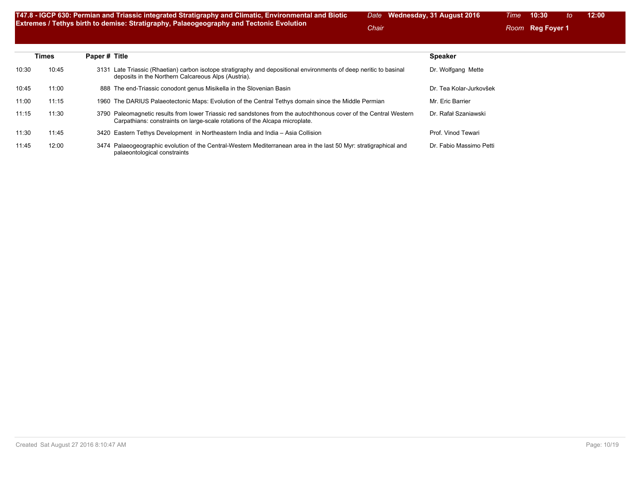**T47.8 - IGCP 630: Permian and Triassic integrated Stratigraphy and Climatic, Environmental and Biotic Extremes / Tethys birth to demise: Stratigraphy, Palaeogeography and Tectonic Evolution**

*Date* **Wednesday, 31 August 2016** *Time* **10:30** *to* **12:00**

**Chair Chair** *Room* **Reg Foyer 1** 

|       | <b>Times</b> | Paper # Title                                                                                                                                                                                    | <b>Speaker</b>          |
|-------|--------------|--------------------------------------------------------------------------------------------------------------------------------------------------------------------------------------------------|-------------------------|
| 10:30 | 10:45        | Late Triassic (Rhaetian) carbon isotope stratigraphy and depositional environments of deep neritic to basinal<br>3131<br>deposits in the Northern Calcareous Alps (Austria).                     | Dr. Wolfgang Mette      |
| 10:45 | 11:00        | 888 The end-Triassic conodont genus Misikella in the Slovenian Basin                                                                                                                             | Dr. Tea Kolar-Jurkovšek |
| 11:00 | 11:15        | 1960 The DARIUS Palaeotectonic Maps: Evolution of the Central Tethys domain since the Middle Permian                                                                                             | Mr. Eric Barrier        |
| 11:15 | 11:30        | 3790 Paleomagnetic results from lower Triassic red sandstones from the autochthonous cover of the Central Western<br>Carpathians: constraints on large-scale rotations of the Alcapa microplate. | Dr. Rafał Szaniawski    |
| 11:30 | 11:45        | 3420 Eastern Tethys Development in Northeastern India and India - Asia Collision                                                                                                                 | Prof. Vinod Tewari      |
| 11:45 | 12:00        | 3474 Palaeogeographic evolution of the Central-Western Mediterranean area in the last 50 Myr: stratigraphical and<br>palaeontological constraints                                                | Dr. Fabio Massimo Petti |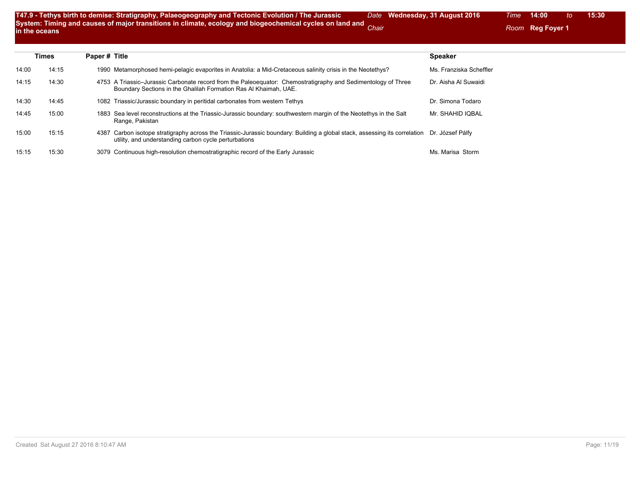| T47.9 - Tethys birth to demise: Stratigraphy, Palaeogeography and Tectonic Evolution / The Jurassic            | Date Wednesday, 31 August 2016 |  |
|----------------------------------------------------------------------------------------------------------------|--------------------------------|--|
| System: Timing and causes of major transitions in climate, ecology and biogeochemical cycles on land and Chair |                                |  |
| in the oceans                                                                                                  |                                |  |

|       | Times | Paper # Title                                                                                                                                                                                        | <b>Speaker</b>          |
|-------|-------|------------------------------------------------------------------------------------------------------------------------------------------------------------------------------------------------------|-------------------------|
| 14:00 | 14:15 | 1990 Metamorphosed hemi-pelagic evaporites in Anatolia: a Mid-Cretaceous salinity crisis in the Neotethys?                                                                                           | Ms. Franziska Scheffler |
| 14:15 | 14:30 | 4753 A Triassic–Jurassic Carbonate record from the Paleoequator: Chemostratigraphy and Sedimentology of Three<br>Boundary Sections in the Ghalilah Formation Ras Al Khaimah, UAE.                    | Dr. Aisha Al Suwaidi    |
| 14:30 | 14:45 | 1082 Triassic/Jurassic boundary in peritidal carbonates from western Tethys                                                                                                                          | Dr. Simona Todaro       |
| 14:45 | 15:00 | 1883 Sea level reconstructions at the Triassic-Jurassic boundary: southwestern margin of the Neotethys in the Salt<br>Range, Pakistan                                                                | Mr. SHAHID IQBAL        |
| 15:00 | 15:15 | 4387 Carbon isotope stratigraphy across the Triassic-Jurassic boundary: Building a global stack, assessing its correlation Dr. József Pálfy<br>utility, and understanding carbon cycle perturbations |                         |
| 15:15 | 15:30 | 3079 Continuous high-resolution chemostratigraphic record of the Early Jurassic                                                                                                                      | Ms. Marisa Storm        |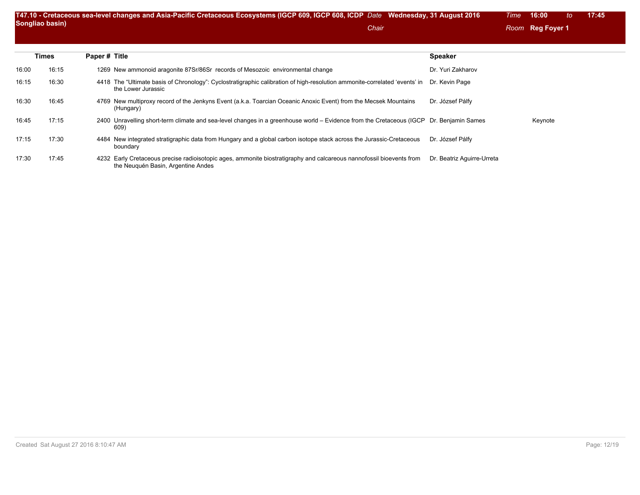|       | Songliao basin) |               | T47.10 - Cretaceous sea-level changes and Asia-Pacific Cretaceous Ecosystems (IGCP 609, IGCP 608, ICDP Date Wednesday, 31 August 2016<br>Chair                  |                            | <b>Time</b> | 16:00<br>to<br>Room Reg Foyer 1 | 17:45 |
|-------|-----------------|---------------|-----------------------------------------------------------------------------------------------------------------------------------------------------------------|----------------------------|-------------|---------------------------------|-------|
|       | Times           | Paper # Title |                                                                                                                                                                 | <b>Speaker</b>             |             |                                 |       |
| 16:00 | 16:15           |               | 1269 New ammonoid aragonite 87Sr/86Sr records of Mesozoic environmental change                                                                                  | Dr. Yuri Zakharov          |             |                                 |       |
| 16:15 | 16:30           |               | 4418 The "Ultimate basis of Chronology": Cyclostratigraphic calibration of high-resolution ammonite-correlated 'events' in Dr. Kevin Page<br>the Lower Jurassic |                            |             |                                 |       |
| 16:30 | 16:45           |               | 4769 New multiproxy record of the Jenkyns Event (a.k.a. Toarcian Oceanic Anoxic Event) from the Mecsek Mountains<br>(Hungary)                                   | Dr. József Pálfy           |             |                                 |       |
| 16:45 | 17:15           |               | 2400 Unravelling short-term climate and sea-level changes in a greenhouse world – Evidence from the Cretaceous (IGCP Dr. Benjamin Sames<br>609)                 |                            |             | Keynote                         |       |
| 17:15 | 17:30           |               | 4484 New integrated stratigraphic data from Hungary and a global carbon isotope stack across the Jurassic-Cretaceous<br>boundary                                | Dr. József Pálfy           |             |                                 |       |
| 17:30 | 17:45           |               | 4232 Early Cretaceous precise radioisotopic ages, ammonite biostratigraphy and calcareous nannofossil bioevents from<br>the Neuquén Basin, Argentine Andes      | Dr. Beatriz Aguirre-Urreta |             |                                 |       |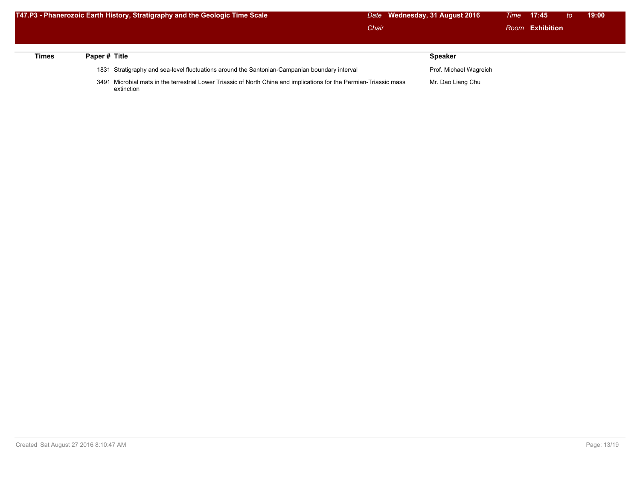|       |              | T47.P3 - Phanerozoic Earth History, Stratigraphy and the Geologic Time Scale                                        |       | Date Wednesday, 31 August 2016 | Time <b>17:45</b> | to. | 19:00 |  |
|-------|--------------|---------------------------------------------------------------------------------------------------------------------|-------|--------------------------------|-------------------|-----|-------|--|
|       |              |                                                                                                                     | Chair |                                | Room Exhibition   |     |       |  |
|       |              |                                                                                                                     |       |                                |                   |     |       |  |
| Times | Paper# Title |                                                                                                                     |       | <b>Speaker</b>                 |                   |     |       |  |
|       |              | 1831 Stratigraphy and sea-level fluctuations around the Santonian-Campanian boundary interval                       |       | Prof. Michael Wagreich         |                   |     |       |  |
|       |              | 3491 Microbial mats in the terrestrial Lower Triassic of North China and implications for the Permian-Triassic mass |       | Mr. Dao Liang Chu              |                   |     |       |  |

extinction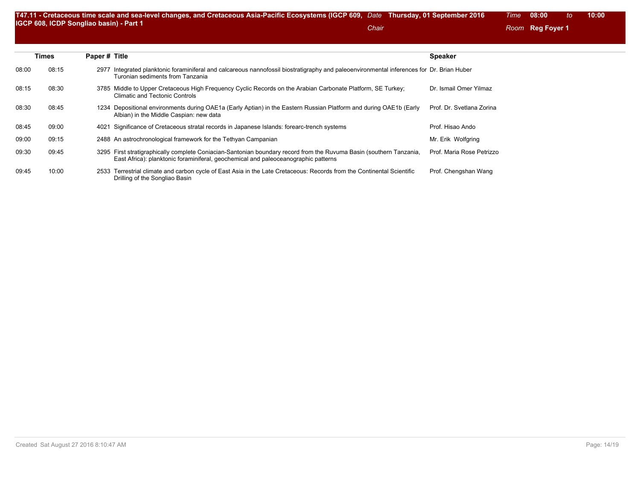|       | <b>Times</b> | Paper # Title                                                                                                                                                                                             | <b>Speaker</b>            |
|-------|--------------|-----------------------------------------------------------------------------------------------------------------------------------------------------------------------------------------------------------|---------------------------|
| 08:00 | 08:15        | 2977 Integrated planktonic foraminiferal and calcareous nannofossil biostratigraphy and paleoenvironmental inferences for Dr. Brian Huber<br>Turonian sediments from Tanzania                             |                           |
| 08:15 | 08:30        | 3785 Middle to Upper Cretaceous High Frequency Cyclic Records on the Arabian Carbonate Platform, SE Turkey:<br><b>Climatic and Tectonic Controls</b>                                                      | Dr. Ismail Omer Yilmaz    |
| 08:30 | 08:45        | 1234 Depositional environments during OAE1a (Early Aptian) in the Eastern Russian Platform and during OAE1b (Early<br>Albian) in the Middle Caspian: new data                                             | Prof. Dr. Svetlana Zorina |
| 08:45 | 09:00        | 4021 Significance of Cretaceous stratal records in Japanese Islands: forearc-trench systems                                                                                                               | Prof. Hisao Ando          |
| 09:00 | 09:15        | 2488 An astrochronological framework for the Tethyan Campanian                                                                                                                                            | Mr. Erik Wolfgring        |
| 09:30 | 09:45        | 3295 First stratigraphically complete Coniacian-Santonian boundary record from the Ruvuma Basin (southern Tanzania,<br>East Africa): planktonic foraminiferal, geochemical and paleoceanographic patterns | Prof. Maria Rose Petrizzo |
| 09:45 | 10:00        | 2533 Terrestrial climate and carbon cycle of East Asia in the Late Cretaceous: Records from the Continental Scientific<br>Drilling of the Songliao Basin                                                  | Prof. Chengshan Wang      |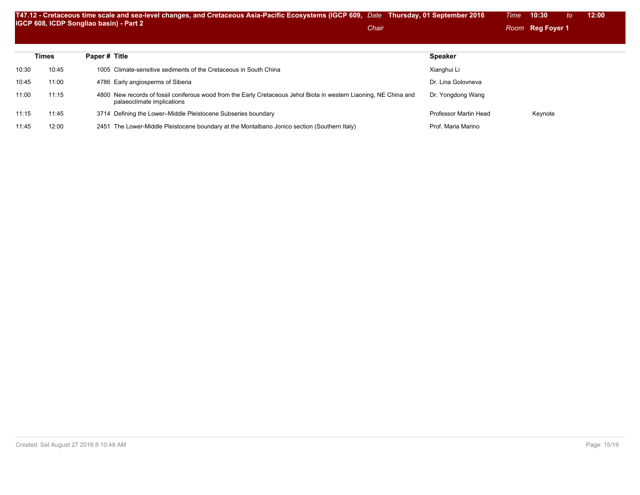|       |              | T47.12 - Cretaceous time scale and sea-level changes, and Cretaceous Asia-Pacific Ecosystems (IGCP 609, Date Thursday, 01 September 2016<br>IGCP 608, ICDP Songliao basin) - Part 2<br>Chair |                       | 10:30<br>Time<br>to<br>Room Reg Foyer 1 | 12:00 |
|-------|--------------|----------------------------------------------------------------------------------------------------------------------------------------------------------------------------------------------|-----------------------|-----------------------------------------|-------|
|       | <b>Times</b> | Paper # Title                                                                                                                                                                                | <b>Speaker</b>        |                                         |       |
| 10:30 | 10:45        | 1005 Climate-sensitive sediments of the Cretaceous in South China                                                                                                                            | Xianghui Li           |                                         |       |
| 10:45 | 11:00        | 4786 Early angiosperms of Siberia                                                                                                                                                            | Dr. Lina Golovneva    |                                         |       |
| 11:00 | 11:15        | 4800 New records of fossil coniferous wood from the Early Cretaceous Jehol Biota in western Liaoning, NE China and<br>palaeoclimate implications                                             | Dr. Yongdong Wang     |                                         |       |
| 11:15 | 11:45        | 3714 Defining the Lower-Middle Pleistocene Subseries boundary                                                                                                                                | Professor Martin Head | Keynote                                 |       |
| 11:45 | 12:00        | The Lower-Middle Pleistocene boundary at the Montalbano Jonico section (Southern Italy)<br>2451                                                                                              | Prof. Maria Marino    |                                         |       |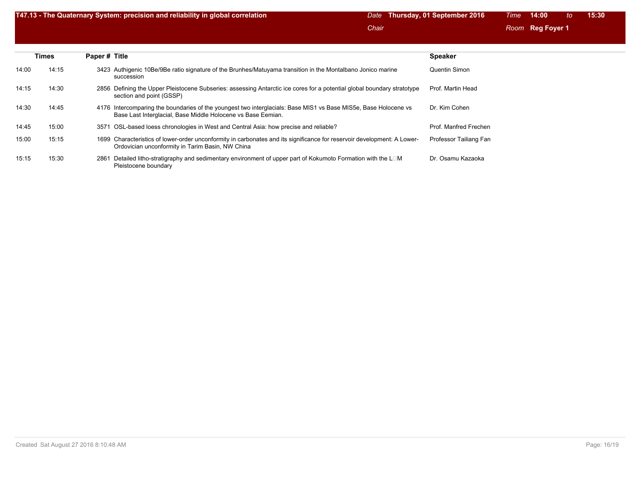| T47.13 - The Quaternary System: precision and reliability in global correlation | Date Thursday, 01 September 2016 | Time 14:00 to 15:30 |  |
|---------------------------------------------------------------------------------|----------------------------------|---------------------|--|
|                                                                                 | Chair                            | Room Reg Foyer 1    |  |

|       | <b>Times</b> | Paper # Title                                                                                                                                                                   | <b>Speaker</b>         |
|-------|--------------|---------------------------------------------------------------------------------------------------------------------------------------------------------------------------------|------------------------|
| 14:00 | 14:15        | 3423 Authigenic 10Be/9Be ratio signature of the Brunhes/Matuyama transition in the Montalbano Jonico marine<br>succession                                                       | Quentin Simon          |
| 14:15 | 14:30        | 2856 Defining the Upper Pleistocene Subseries: assessing Antarctic ice cores for a potential global boundary stratotype<br>section and point (GSSP)                             | Prof. Martin Head      |
| 14:30 | 14:45        | 4176 Intercomparing the boundaries of the youngest two interglacials: Base MIS1 vs Base MIS5e, Base Holocene vs<br>Base Last Interglacial, Base Middle Holocene vs Base Eemian. | Dr. Kim Cohen          |
| 14:45 | 15:00        | OSL-based loess chronologies in West and Central Asia: how precise and reliable?<br>3571                                                                                        | Prof. Manfred Frechen  |
| 15:00 | 15:15        | 1699 Characteristics of lower-order unconformity in carbonates and its significance for reservoir development: A Lower-<br>Ordovician unconformity in Tarim Basin, NW China     | Professor Tailiang Fan |
| 15:15 | 15:30        | Detailed litho-stratigraphy and sedimentary environment of upper part of Kokumoto Formation with the $L \Box M$<br>2861<br>Pleistocene boundary                                 | Dr. Osamu Kazaoka      |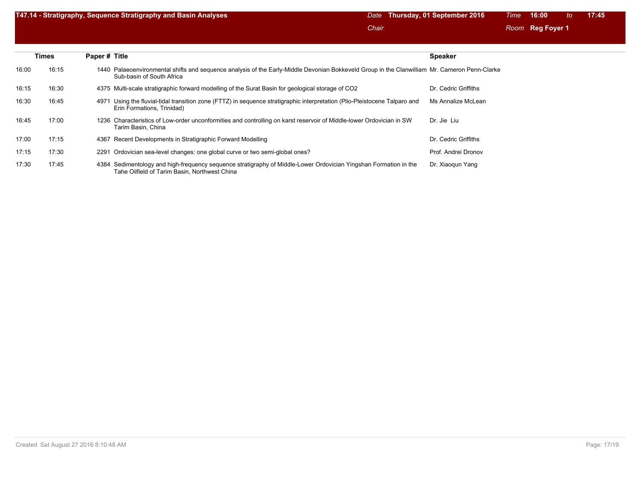| T47.14 - Stratigraphy, Sequence Stratigraphy and Basin Analyses | Date Thursday, 01 September 2016 | Time 16:00 to 17:45 |
|-----------------------------------------------------------------|----------------------------------|---------------------|
|                                                                 | Chair                            | Room Reg Foyer 1    |

|       | <b>Times</b> | Paper # Title                                                                                                                                                              | <b>Speaker</b>       |
|-------|--------------|----------------------------------------------------------------------------------------------------------------------------------------------------------------------------|----------------------|
| 16:00 | 16:15        | 1440 Palaeoenvironmental shifts and sequence analysis of the Early-Middle Devonian Bokkeveld Group in the Clanwilliam Mr. Cameron Penn-Clarke<br>Sub-basin of South Africa |                      |
| 16:15 | 16:30        | 4375 Multi-scale stratigraphic forward modelling of the Surat Basin for geological storage of CO2                                                                          | Dr. Cedric Griffiths |
| 16:30 | 16:45        | Using the fluvial-tidal transition zone (FTTZ) in sequence stratigraphic interpretation (Plio-Pleistocene Talparo and<br>4971<br>Erin Formations, Trinidad)                | Ms Annalize McLean   |
| 16:45 | 17:00        | 1236 Characteristics of Low-order unconformities and controlling on karst reservoir of Middle-lower Ordovician in SW<br>Tarim Basin, China                                 | Dr. Jie Liu          |
| 17:00 | 17:15        | 4367 Recent Developments in Stratigraphic Forward Modelling                                                                                                                | Dr. Cedric Griffiths |
| 17:15 | 17:30        | 2291 Ordovician sea-level changes: one global curve or two semi-global ones?                                                                                               | Prof. Andrei Dronov  |
| 17:30 | 17:45        | 4384 Sedimentology and high-frequency sequence stratigraphy of Middle-Lower Ordovician Yingshan Formation in the<br>Tahe Oilfield of Tarim Basin, Northwest China          | Dr. Xiaogun Yang     |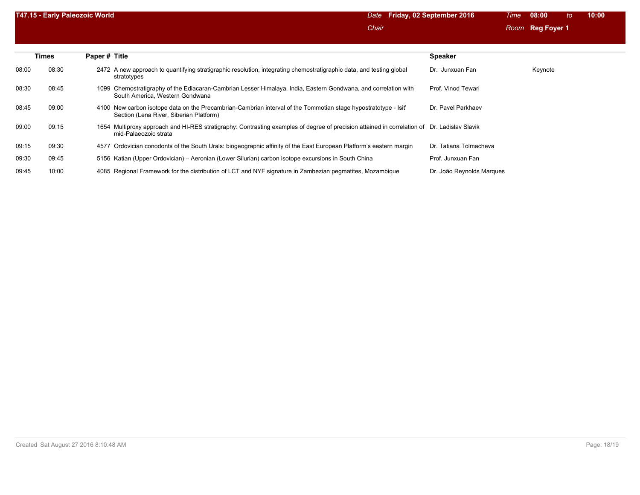|       | T47.15 - Early Paleozoic World |                                                                                                                                                                          | <b>Friday, 02 September 2016</b><br>Date | 08:00<br>10:00<br>to<br>Time |  |
|-------|--------------------------------|--------------------------------------------------------------------------------------------------------------------------------------------------------------------------|------------------------------------------|------------------------------|--|
|       |                                |                                                                                                                                                                          | Chair                                    | Room Reg Foyer 1             |  |
|       |                                |                                                                                                                                                                          |                                          |                              |  |
|       | <b>Times</b>                   | Paper # Title                                                                                                                                                            | <b>Speaker</b>                           |                              |  |
| 08:00 | 08:30                          | 2472 A new approach to quantifying stratigraphic resolution, integrating chemostratigraphic data, and testing global<br>stratotypes                                      | Dr. Junxuan Fan                          | Keynote                      |  |
| 08:30 | 08:45                          | 1099 Chemostratigraphy of the Ediacaran-Cambrian Lesser Himalaya, India, Eastern Gondwana, and correlation with<br>South America, Western Gondwana                       | Prof. Vinod Tewari                       |                              |  |
| 08:45 | 09:00                          | New carbon isotope data on the Precambrian-Cambrian interval of the Tommotian stage hypostratotype - Isit<br>4100<br>Section (Lena River, Siberian Platform)             | Dr. Pavel Parkhaev                       |                              |  |
| 09:00 | 09:15                          | Multiproxy approach and HI-RES stratigraphy: Contrasting examples of degree of precision attained in correlation of Dr. Ladislav Slavik<br>1654<br>mid-Palaeozoic strata |                                          |                              |  |
| 09:15 | 09:30                          | 4577 Ordovician conodonts of the South Urals: biogeographic affinity of the East European Platform's eastern margin                                                      | Dr. Tatiana Tolmacheva                   |                              |  |
| 09:30 | 09:45                          | 5156 Katian (Upper Ordovician) – Aeronian (Lower Silurian) carbon isotope excursions in South China                                                                      | Prof. Junxuan Fan                        |                              |  |
| 09:45 | 10:00                          | 4085 Regional Framework for the distribution of LCT and NYF signature in Zambezian pegmatites, Mozambique                                                                | Dr. João Reynolds Marques                |                              |  |